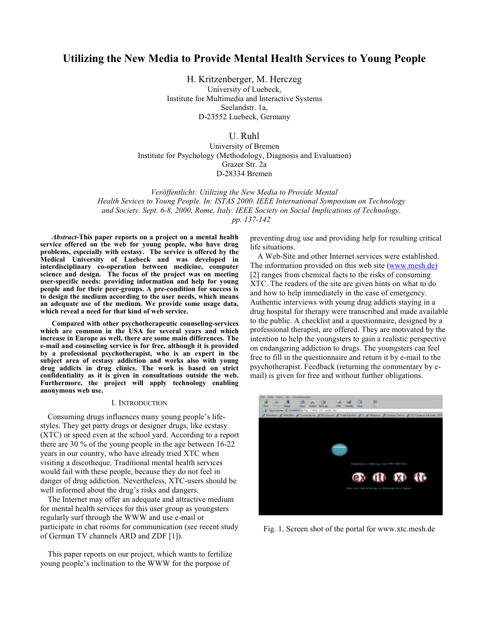# Utilizing the New Media to Provide Mental Health Services to Young People

H. Kritzenberger, M. Herczeg University of Luebeck, Institute for Multimedia and Interactive Systems Seelandstr. 1a. D-23552 Luebeck, Germany

U. Ruhl

University of Bremen Institute for Psychology (Methodology, Diagnosis and Evaluation) Grazer Str. 2a D-28334 Bremen

Veröffentlicht: Utilizing the New Media to Provide Mental Health Sevices to Young People. In: ISTAS 2000. IEEE International Symposium on Technology and Society. Sept. 6-8, 2000, Rome, Italy. IEEE Society on Social Implications of Technology, pp. 137-142

Abstract-This paper reports on a project on a mental health service offered on the web for young people, who have drug problems, especially with ecstasy. The service is offered by the Medical University of Luebeck and was developed in interdisciplinary co-operation between medicine, computer science and design. The focus of the project was on meeting user-specific needs: providing information and help for young people and for their peer-groups. A pre-condition for success is to design the medium according to the user needs, which means an adequate use of the medium. We provide some usage data, which reveal a need for that kind of web service.

Compared with other psychotherapeutic counseling-services which are common in the USA for several vears and which increase in Europe as well, there are some main differences. The e-mail and counseling service is for free, although it is provided by a professional psychotherapist, who is an expert in the subject area of ecstasy addiction and works also with young drug addicts in drug clinics. The work is based on strict confidentiality as it is given in consultations outside the web. Furthermore, the project will apply technology enabling anonymous web use.

## I. INTRODUCTION

Consuming drugs influences many young people's lifestyles. They get party drugs or designer drugs, like ecstasy (XTC) or speed even at the school yard. According to a report there are 30 % of the young people in the age between  $16-22$ years in our country, who have already tried XTC when visiting a discotheque. Traditional mental health services would fail with these people, because they do not feel in danger of drug addiction. Nevertheless, XTC-users should be well informed about the drug's risks and dangers.

The Internet may offer an adequate and attractive medium for mental health services for this user group as youngsters regularly surf through the WWW and use e-mail or participate in chat rooms for communication (see recent study of German TV channels ARD and ZDF [1]).

This paper reports on our project, which wants to fertilize young people's inclination to the WWW for the purpose of

preventing drug use and providing help for resulting critical life situations.

A Web-Site and other Internet services were established. The information provided on this web site (www.mesh.de) [2] ranges from chemical facts to the risks of consuming XTC. The readers of the site are given hints on what to do and how to help immediately in the case of emergency. Authentic interviews with young drug addicts staying in a drug hospital for therapy were transcribed and made available to the public. A checklist and a questionnaire, designed by a professional therapist, are offered. They are motivated by the intention to help the youngsters to gain a realistic perspective on endangering addiction to drugs. The youngsters can feel free to fill in the questionnaire and return it by e-mail to the psychotherapist. Feedback (returning the commentary by email) is given for free and without further obligations.



Fig. 1. Screen shot of the portal for www.xtc.mesh.de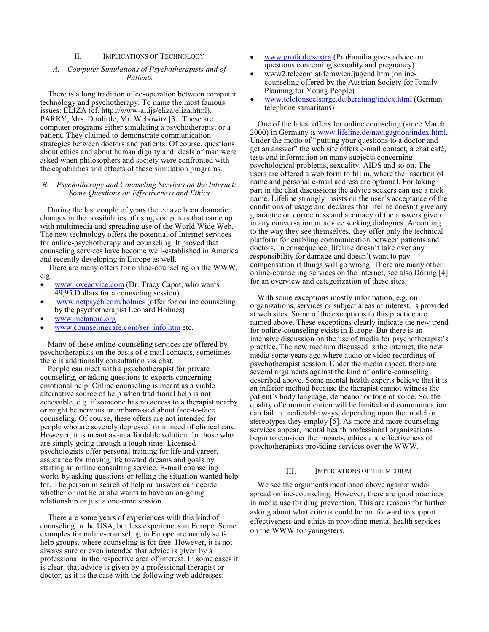#### Π. **IMPLICATIONS OF TECHNOLOGY**

### Computer Simulations of Psychotherapists and of  $A$ . Patients

There is a long tradition of co-operation between computer technology and psychotherapy. To name the most famous issues: ELIZA (cf. http://www-ai.ijs/eliza/eliza.html), PARRY, Mrs. Doolittle, Mr. Webowitz [3]. These are computer programs either simulating a psychotherapist or a patient. They claimed to demonstrate communication strategies between doctors and patients. Of course, questions about ethics and about human dignity and ideals of man were asked when philosophers and society were confronted with the capabilities and effects of these simulation programs.

### $B$ . Psychotherapy and Counseling Services on the Internet: Some Questions on Effectiveness and Ethics

During the last couple of years there have been dramatic changes in the possibilities of using computers that came up with multimedia and spreading use of the World Wide Web. The new technology offers the potential of Internet services for online-psychotherapy and counseling. It proved that counseling services have become well-established in America and recently developing in Europe as well.

There are many offers for online-counseling on the WWW, e.g.

- www.loveadvice.com (Dr. Tracy Capot, who wants 49,95 Dollars for a counseling session)
- www.netpsych.com/holmes (offer for online counseling by the psychotherapist Leonard Holmes)
- www.metanoia.org
- www.counselingcafe.com/ser\_info.htm etc.

Many of these online-counseling services are offered by psychotherapists on the basis of e-mail contacts, sometimes there is additionally consultation via chat.

People can meet with a psychotherapist for private counseling, or asking questions to experts concerning emotional help. Online counseling is meant as a viable alternative source of help when traditional help is not accessible, e.g. if someone has no access to a therapist nearby or might be nervous or embarrassed about face-to-face counseling. Of course, these offers are not intended for people who are severely depressed or in need of clinical care. However, it is meant as an affordable solution for those who are simply going through a tough time. Licensed psychologists offer personal training for life and career, assistance for moving life toward dreams and goals by starting an online consulting service. E-mail counseling works by asking questions or telling the situation wanted help for. The person in search of help or answers can decide whether or not he or she wants to have an on-going relationship or just a one-time session.

There are some years of experiences with this kind of counseling in the USA, but less experiences in Europe. Some examples for online-counseling in Europe are mainly selfhelp groups, where counseling is for free. However, it is not always sure or even intended that advice is given by a professional in the respective area of interest. In some cases it is clear, that advice is given by a professional therapist or doctor, as it is the case with the following web addresses:

- www.profa.de/sextra (ProFamilia gives advice on questions concerning sexuality and pregnancy)
- www2.telecom.at/femwien/jugend.htm (onlinecounseling offered by the Austrian Society for Family Planning for Young People)
- www.telefonseelsorge.de/beratung/index.html (German telephone samaritans)

One of the latest offers for online counseling (since March) 2000) in Germany is www.lifeline.de/navigagtion/index.html. Under the motto of "putting your questions to a doctor and get an answer" the web site offers e-mail contact, a chat café, tests and information on many subjects concerning psychological problems, sexuality, AIDS and so on. The users are offered a web form to fill in, where the insertion of name and personal e-mail address are optional. For taking part in the chat discussions the advice seekers can use a nick name. Lifeline strongly insists on the user's acceptance of the conditions of usage and declares that lifeline doesn't give any guarantee on correctness and accuracy of the answers given in any conversation or advice seeking dialogues. According to the way they see themselves, they offer only the technical platform for enabling communication between patients and doctors. In consequence, lifeline doesn't take over any responsibility for damage and doesn't want to pay compensation if things will go wrong. There are many other online-counseling services on the internet, see also Döring [4] for an overview and categorization of these sites.

With some exceptions mostly information, e.g. on organizations, services or subject areas of interest, is provided at web sites. Some of the exceptions to this practice are named above. These exceptions clearly indicate the new trend for online-counseling exists in Europe. But there is an intensive discussion on the use of media for psychotherapist's practice. The new medium discussed is the internet, the new media some years ago where audio or video recordings of psychotherapist session. Under the media aspect, there are several arguments against the kind of online-counseling described above. Some mental health experts believe that it is an inferior method because the therapist cannot witness the patient's body language, demeanor or tone of voice. So, the quality of communication will be limited and communication can fail in predictable ways, depending upon the model or stereotypes they employ [5]. As more and more counseling services appear, mental health professional organizations begin to consider the impacts, ethics and effectiveness of psychotherapists providing services over the WWW.

#### III. **IMPLICATIONS OF THE MEDIUM**

We see the arguments mentioned above against widespread online-counseling. However, there are good practices in media use for drug prevention. This are reasons for further asking about what criteria could be put forward to support effectiveness and ethics in providing mental health services on the WWW for youngsters.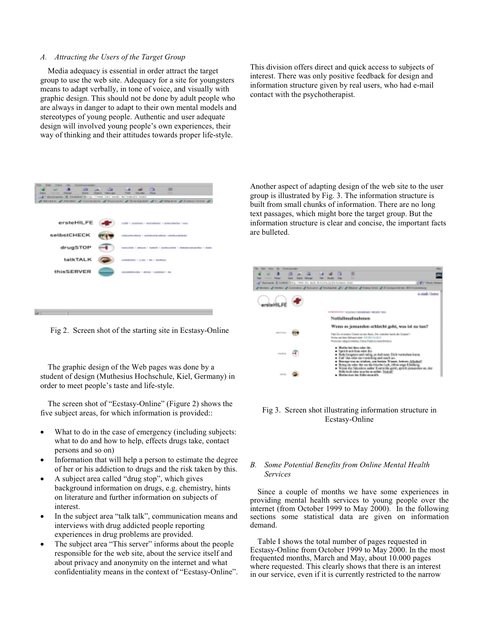# A. Attracting the Users of the Target Group

Media adequacy is essential in order attract the target group to use the web site. Adequacy for a site for youngsters means to adapt verbally, in tone of voice, and visually with graphic design. This should not be done by adult people who are always in danger to adapt to their own mental models and stereotypes of young people. Authentic and user adequate design will involved young people's own experiences, their way of thinking and their attitudes towards proper life-style.

This division offers direct and quick access to subjects of interest. There was only positive feedback for design and information structure given by real users, who had e-mail contact with the psychotherapist.



Fig 2. Screen shot of the starting site in Ecstasy-Online

The graphic design of the Web pages was done by a student of design (Muthesius Hochschule, Kiel, Germany) in order to meet people's taste and life-style.

The screen shot of "Ecstasy-Online" (Figure 2) shows the five subject areas, for which information is provided::

- What to do in the case of emergency (including subjects: what to do and how to help, effects drugs take, contact persons and so on)
- Information that will help a person to estimate the degree of her or his addiction to drugs and the risk taken by this.
- A subject area called "drug stop", which gives background information on drugs, e.g. chemistry, hints on literature and further information on subjects of interest.
- In the subject area "talk talk", communication means and interviews with drug addicted people reporting experiences in drug problems are provided.
- The subject area "This server" informs about the people responsible for the web site, about the service itself and about privacy and anonymity on the internet and what confidentiality means in the context of "Ecstasy-Online".

Another aspect of adapting design of the web site to the user group is illustrated by Fig. 3. The information structure is built from small chunks of information. There are no long text passages, which might bore the target group. But the information structure is clear and concise, the important facts are bulleted.



Fig 3. Screen shot illustrating information structure in Ecstasy-Online

## B. Some Potential Benefits from Online Mental Health **Services**

Since a couple of months we have some experiences in providing mental health services to young people over the internet (from October 1999 to May 2000). In the following sections some statistical data are given on information demand.

Table I shows the total number of pages requested in Ecstasy-Online from October 1999 to May 2000. In the most frequented months, March and May, about 10.000 pages where requested. This clearly shows that there is an interest in our service, even if it is currently restricted to the narrow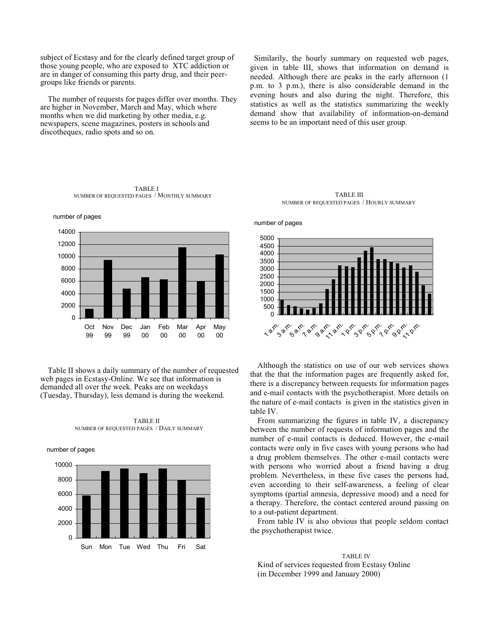subject of Ecstasy and for the clearly defined target group of those young people, who are exposed to XTC addiction or are in danger of consuming this party drug, and their peergroups like friends or parents.

The number of requests for pages differ over months. They are higher in November, March and May, which where months when we did marketing by other media, e.g. newspapers, scene magazines, posters in schools and discotheques, radio spots and so on.



**TABLE I** 

NUMBER OF REQUESTED PAGES / MONTHLY SUMMARY

Table II shows a daily summary of the number of requested web pages in Ecstasy-Online. We see that information is demanded all over the week. Peaks are on weekdays (Tuesday, Thursday), less demand is during the weekend.

**TABLE II** NUMBER OF REOUESTED PAGES / DAILY SUMMARY

number of pages



Similarily, the hourly summary on requested web pages, given in table III, shows that information on demand is needed. Although there are peaks in the early afternoon (1 p.m. to 3 p.m.), there is also considerable demand in the evening hours and also during the night. Therefore, this statistics as well as the statistics summarizing the weekly demand show that availability of information-on-demand seems to be an important need of this user group.

**TABLE III** NUMBER OF REQUESTED PAGES / HOURLY SUMMARY



Although the statistics on use of our web services shows that the that the information pages are frequently asked for, there is a discrepancy between requests for information pages and e-mail contacts with the psychotherapist. More details on the nature of e-mail contacts is given in the statistics given in table IV.

From summarizing the figures in table IV, a discrepancy between the number of requests of information pages and the number of e-mail contacts is deduced. However, the e-mail contacts were only in five cases with young persons who had a drug problem themselves. The other e-mail contacts were with persons who worried about a friend having a drug problem. Nevertheless, in these five cases the persons had, even according to their self-awareness, a feeling of clear symptoms (partial amnesia, depressive mood) and a need for a therapy. Therefore, the contact centered around passing on to a out-patient department.

From table IV is also obvious that people seldom contact the psychotherapist twice.

**TABLE IV** Kind of services requested from Ecstasy Online (in December 1999 and January 2000)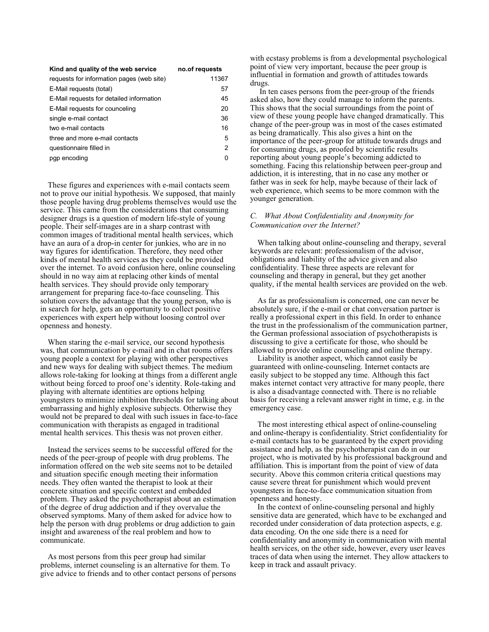| Kind and quality of the web service       | no.of requests |
|-------------------------------------------|----------------|
| requests for information pages (web site) | 11367          |
| E-Mail requests (total)                   | 57             |
| E-Mail requests for detailed information  | 45             |
| E-Mail requests for counceling            | 20             |
| single e-mail contact                     | 36             |
| two e-mail contacts                       | 16             |
| three and more e-mail contacts            | 5              |
| questionnaire filled in                   | 2              |
| pgp encoding                              | O              |

These figures and experiences with e-mail contacts seem not to prove our initial hypothesis. We supposed, that mainly those people having drug problems themselves would use the service. This came from the considerations that consuming designer drugs is a question of modern life-style of young people. Their self-images are in a sharp contrast with common images of traditional mental health services, which have an aura of a drop-in center for junkies, who are in no way figures for identification. Therefore, they need other kinds of mental health services as they could be provided over the internet. To avoid confusion here, online counseling should in no way aim at replacing other kinds of mental health services. They should provide only temporary arrangement for preparing face-to-face counseling. This solution covers the advantage that the young person, who is in search for help, gets an opportunity to collect positive experiences with expert help without loosing control over openness and honesty.

When staring the e-mail service, our second hypothesis was, that communication by e-mail and in chat rooms offers young people a context for playing with other perspectives and new ways for dealing with subject themes. The medium allows role-taking for looking at things from a different angle without being forced to proof one's identity. Role-taking and playing with alternate identities are options helping youngsters to minimize inhibition thresholds for talking about embarrassing and highly explosive subjects. Otherwise they would not be prepared to deal with such issues in face-to-face communication with therapists as engaged in traditional mental health services. This thesis was not proven either.

Instead the services seems to be successful offered for the needs of the peer-group of people with drug problems. The information offered on the web site seems not to be detailed and situation specific enough meeting their information needs. They often wanted the therapist to look at their concrete situation and specific context and embedded problem. They asked the psychotherapist about an estimation of the degree of drug addiction and if they overvalue the observed symptoms. Many of them asked for advice how to help the person with drug problems or drug addiction to gain insight and awareness of the real problem and how to communicate.

As most persons from this peer group had similar problems, internet counseling is an alternative for them. To give advice to friends and to other contact persons of persons with ecstasy problems is from a developmental psychological point of view very important, because the peer group is influential in formation and growth of attitudes towards drugs.

In ten cases persons from the peer-group of the friends asked also, how they could manage to inform the parents. This shows that the social surroundings from the point of view of these young people have changed dramatically. This change of the neer-group was in most of the cases estimated as being dramatically. This also gives a hint on the importance of the peer-group for attitude towards drugs and for consuming drugs, as proofed by scientific results reporting about young people's becoming addicted to something. Facing this relationship between peer-group and addiction, it is interesting, that in no case any mother or father was in seek for help, maybe because of their lack of web experience, which seems to be more common with the younger generation.

## C. What About Confidentiality and Anonymity for Communication over the Internet?

When talking about online-counseling and therapy, several keywords are relevant: professionalism of the advisor, obligations and liability of the advice given and also confidentiality. These three aspects are relevant for counseling and therapy in general, but they get another quality, if the mental health services are provided on the web.

As far as professionalism is concerned, one can never be absolutely sure, if the e-mail or chat conversation partner is really a professional expert in this field. In order to enhance the trust in the professionalism of the communication partner, the German professional association of psychotherapists is discussing to give a certificate for those, who should be allowed to provide online counseling and online therapy.

Liability is another aspect, which cannot easily be. guaranteed with online-counseling. Internet contacts are easily subject to be stopped any time. Although this fact makes internet contact very attractive for many people, there is also a disadvantage connected with. There is no reliable basis for receiving a relevant answer right in time, e.g. in the emergency case.

The most interesting ethical aspect of online-counseling and online-therapy is confidentiality. Strict confidentiality for e-mail contacts has to be guaranteed by the expert providing assistance and help, as the psychotherapist can do in our project, who is motivated by his professional background and affiliation. This is important from the point of view of data security. Above this common criteria critical questions may cause severe threat for punishment which would prevent youngsters in face-to-face communication situation from openness and honesty.

In the context of online-counseling personal and highly sensitive data are generated, which have to be exchanged and recorded under consideration of data protection aspects, e.g. data encoding. On the one side there is a need for confidentiality and anonymity in communication with mental health services, on the other side, however, every user leaves traces of data when using the internet. They allow attackers to keep in track and assault privacy.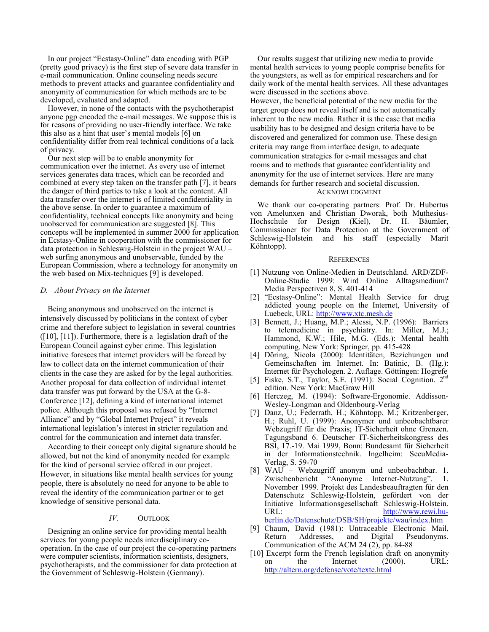In our project "Ecstasy-Online" data encoding with PGP (pretty good privacy) is the first step of severe data transfer in e-mail communication. Online counseling needs secure methods to prevent attacks and guarantee confidentiality and anonymity of communication for which methods are to be developed, evaluated and adapted.

However, in none of the contacts with the psychotherapist anyone pgp encoded the e-mail messages. We suppose this is for reasons of providing no user-friendly interface. We take this also as a hint that user's mental models [6] on confidentiality differ from real technical conditions of a lack of privacy.

Our next step will be to enable anonymity for communication over the internet. As every use of internet services generates data traces, which can be recorded and combined at every step taken on the transfer path [7], it bears the danger of third parties to take a look at the content. All data transfer over the internet is of limited confidentiality in the above sense. In order to guarantee a maximum of confidentiality, technical concepts like anonymity and being unobserved for communication are suggested [8]. This concepts will be implemented in summer 2000 for application in Ecstasy-Online in cooperation with the commissioner for data protection in Schleswig-Holstein in the project WAU – web surfing anonymous and unobservable, funded by the European Commission, where a technology for anonymity on the web based on Mix-techniques [9] is developed.

## D. About Privacy on the Internet

Being anonymous and unobserved on the internet is intensively discussed by politicians in the context of cyber crime and therefore subject to legislation in several countries  $(10, 11)$ . Furthermore, there is a legislation draft of the European Council against cyber crime. This legislation initiative foresees that internet providers will be forced by law to collect data on the internet communication of their clients in the case they are asked for by the legal authorities. Another proposal for data collection of individual internet data transfer was put forward by the USA at the G-8-Conference [12], defining a kind of international internet police. Although this proposal was refused by "Internet" Alliance" and by "Global Internet Project" it reveals international legislation's interest in stricter regulation and control for the communication and internet data transfer.

According to their concept only digital signature should be allowed, but not the kind of anonymity needed for example for the kind of personal service offered in our project. However, in situations like mental health services for young people, there is absolutely no need for anyone to be able to reveal the identity of the communication partner or to get knowledge of sensitive personal data.

#### $IV.$ **OUTLOOK**

Designing an online service for providing mental health services for young people needs interdisciplinary cooperation. In the case of our project the co-operating partners were computer scientists, information scientists, designers, psychotherapists, and the commissioner for data protection at the Government of Schleswig-Holstein (Germany).

Our results suggest that utilizing new media to provide mental health services to young people comprise benefits for the youngsters, as well as for empirical researchers and for daily work of the mental health services. All these advantages were discussed in the sections above. However, the beneficial potential of the new media for the target group does not reveal itself and is not automatically inherent to the new media. Rather it is the case that media usability has to be designed and design criteria have to be discovered and generalized for common use. These design criteria may range from interface design, to adequate communication strategies for e-mail messages and chat rooms and to methods that guarantee confidentiality and anonymity for the use of internet services. Here are many demands for further research and societal discussion. **ACKNOWLEDGMENT** 

We thank our co-operating partners: Prof. Dr. Hubertus von Amelunxen and Christian Dworak, both Muthesius-Hochschule for Design (Kiel), Dr. H. Bäumler, Commissioner for Data Protection at the Government of Schleswig-Holstein and his staff (especially Marit Köhntopp).

### **REFERENCES**

- [1] Nutzung von Online-Medien in Deutschland. ARD/ZDF-Online-Studie 1999: Wird Online Alltagsmedium? Media Perspectiven 8, S. 401-414
- [2] "Ecstasy-Online": Mental Health Service for drug addicted young people on the Internet, University of Luebeck, URL: http://www.xtc.mesh.de
- [3] Bennett, J.; Huang, M.P.; Alessi, N.P. (1996): Barriers to telemedicine in psychiatry. In: Miller, M.J.; Hammond, K.W.; Hile, M.G. (Eds.): Mental health computing. New York: Springer, pp. 415-428
- [4] Döring, Nicola (2000): Identitäten, Beziehungen und Gemeinschaften im Internet. In: Batinic, B. (Hg.): Internet für Psychologen. 2. Auflage. Göttingen: Hogrefe
- [5] Fiske, S.T., Taylor, S.E. (1991): Social Cognition. 2<sup>nd</sup> edition. New York: MacGraw Hill
- [6] Herczeg, M. (1994): Software-Ergonomie. Addisson-Wesley-Longman and Oldenbourg-Verlag
- [7] Danz, U.; Federrath, H.; Köhntopp, M.; Kritzenberger, H.; Ruhl, U. (1999): Anonymer und unbeobachtbarer Webzugriff für die Praxis; IT-Sicherheit ohne Grenzen. Tagungsband 6. Deutscher IT-Sicherheitskongress des BSI, 17.-19. Mai 1999, Bonn: Bundesamt für Sicherheit in der Informationstechnik. Ingelheim: SecuMedia-Verlag, S. 59-70
- [8] WAU Webzugriff anonym und unbeobachtbar. 1. Zwischenbericht "Anonyme Internet-Nutzung". -1. November 1999. Projekt des Landesbeauftragten für den Datenschutz Schleswig-Holstein, gefördert von der Initiative Informationsgesellschaft Schleswig-Holstein. URL: http://www.rewi.huberlin.de/Datenschutz/DSB/SH/projekte/wau/index.htm
- [9] Chaum, David (1981): Untraceable Electronic Mail, Return Addresses, and Digital Pseudonyms. Communication of the ACM 24 (2), pp. 84-88
- [10] Excerpt form the French legislation draft on anonymity  $\alpha$ the Internet  $(2000).$ URL: http://altern.org/defense/vote/texte.html